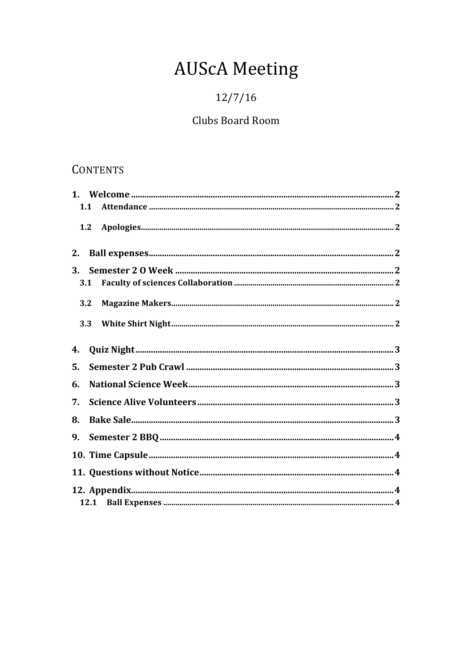# **AUScA Meeting**

## $12/7/16$

## Clubs Board Room

## **CONTENTS**

| 1.1 |  |
|-----|--|
|     |  |
| 2.  |  |
| 3.  |  |
| 3.1 |  |
| 3.2 |  |
|     |  |
| 4.  |  |
| 5.  |  |
| 6.  |  |
| 7.  |  |
| 8.  |  |
| 9.  |  |
|     |  |
|     |  |
|     |  |
|     |  |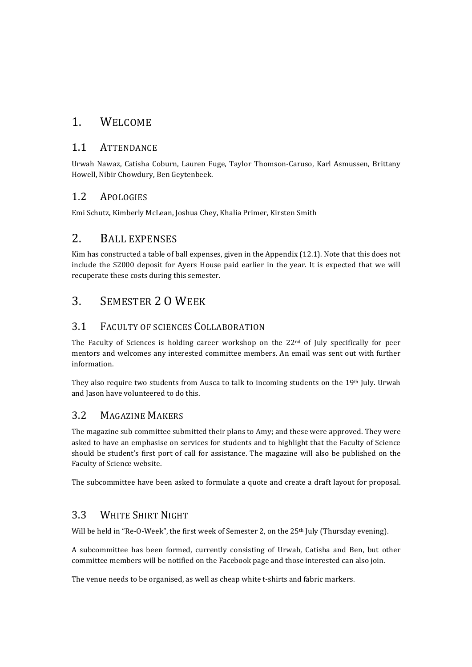#### 1. WELCOME

#### 1.1 ATTENDANCE

Urwah Nawaz, Catisha Coburn, Lauren Fuge, Taylor Thomson-Caruso, Karl Asmussen, Brittany Howell, Nibir Chowdury, Ben Geytenbeek.

#### 1.2 APOLOGIES

Emi Schutz, Kimberly McLean, Joshua Chey, Khalia Primer, Kirsten Smith

#### 2. BALL EXPENSES

Kim has constructed a table of ball expenses, given in the Appendix (12.1). Note that this does not include the \$2000 deposit for Ayers House paid earlier in the year. It is expected that we will recuperate these costs during this semester.

## 3 SEMESTER 2 O WEEK

#### 3.1 FACULTY OF SCIENCES COLLABORATION

The Faculty of Sciences is holding career workshop on the  $22<sup>nd</sup>$  of July specifically for peer mentors and welcomes any interested committee members. An email was sent out with further information. 

They also require two students from Ausca to talk to incoming students on the 19th July. Urwah and Jason have volunteered to do this.

#### 3.2 MAGAZINE MAKERS

The magazine sub committee submitted their plans to Amy; and these were approved. They were asked to have an emphasise on services for students and to highlight that the Faculty of Science should be student's first port of call for assistance. The magazine will also be published on the Faculty of Science website.

The subcommittee have been asked to formulate a quote and create a draft layout for proposal.

#### 3.3 WHITE SHIRT NIGHT

Will be held in "Re-O-Week", the first week of Semester 2, on the 25<sup>th</sup> July (Thursday evening).

A subcommittee has been formed, currently consisting of Urwah, Catisha and Ben, but other committee members will be notified on the Facebook page and those interested can also join.

The venue needs to be organised, as well as cheap white t-shirts and fabric markers.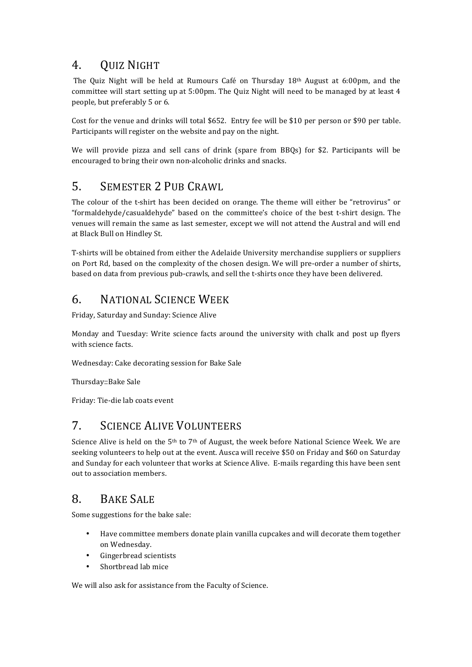## 4. QUIZ NIGHT

The Quiz Night will be held at Rumours Café on Thursday 18th August at 6:00pm, and the committee will start setting up at 5:00pm. The Quiz Night will need to be managed by at least 4 people, but preferably 5 or 6.

Cost for the venue and drinks will total \$652. Entry fee will be \$10 per person or \$90 per table. Participants will register on the website and pay on the night.

We will provide pizza and sell cans of drink (spare from BBQs) for \$2. Participants will be encouraged to bring their own non-alcoholic drinks and snacks.

#### 5. SEMESTER 2 PUB CRAWL

The colour of the t-shirt has been decided on orange. The theme will either be "retrovirus" or "formaldehyde/casualdehyde" based on the committee's choice of the best t-shirt design. The venues will remain the same as last semester, except we will not attend the Austral and will end at Black Bull on Hindley St.

T-shirts will be obtained from either the Adelaide University merchandise suppliers or suppliers on Port Rd, based on the complexity of the chosen design. We will pre-order a number of shirts, based on data from previous pub-crawls, and sell the t-shirts once they have been delivered.

## 6. NATIONAL SCIENCE WEEK

Friday, Saturday and Sunday: Science Alive

Monday and Tuesday: Write science facts around the university with chalk and post up flyers with science facts.

Wednesday: Cake decorating session for Bake Sale

Thursday::Bake Sale

Friday: Tie-die lab coats event

#### 7. SCIENCE ALIVE VOLUNTEERS

Science Alive is held on the  $5<sup>th</sup>$  to  $7<sup>th</sup>$  of August, the week before National Science Week. We are seeking volunteers to help out at the event. Ausca will receive \$50 on Friday and \$60 on Saturday and Sunday for each volunteer that works at Science Alive. E-mails regarding this have been sent out to association members.

#### 8. BAKE SALE

Some suggestions for the bake sale:

- Have committee members donate plain vanilla cupcakes and will decorate them together on Wednesday.
- Gingerbread scientists
- Shortbread lab mice

We will also ask for assistance from the Faculty of Science.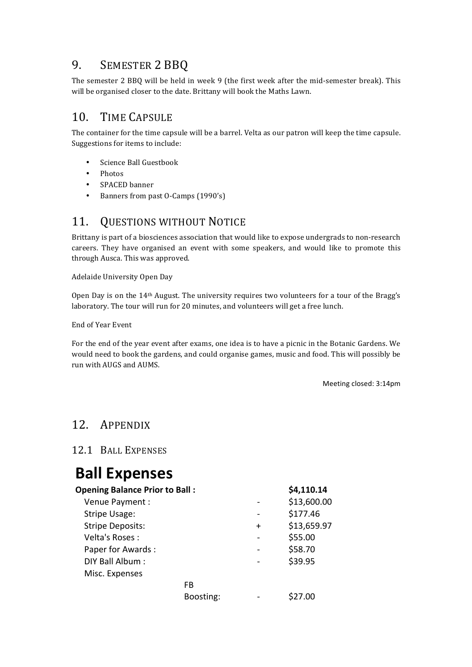## 9. SEMESTER 2 BBQ

The semester 2 BBQ will be held in week 9 (the first week after the mid-semester break). This will be organised closer to the date. Brittany will book the Maths Lawn.

#### 10. TIME CAPSULE

The container for the time capsule will be a barrel. Velta as our patron will keep the time capsule. Suggestions for items to include:

- Science Ball Guestbook
- Photos
- SPACED banner
- Banners from past O-Camps (1990's)

#### 11. QUESTIONS WITHOUT NOTICE

Brittany is part of a biosciences association that would like to expose undergrads to non-research careers. They have organised an event with some speakers, and would like to promote this through Ausca. This was approved.

Adelaide University Open Day

Open Day is on the  $14<sup>th</sup>$  August. The university requires two volunteers for a tour of the Bragg's laboratory. The tour will run for 20 minutes, and volunteers will get a free lunch.

End of Year Event

For the end of the year event after exams, one idea is to have a picnic in the Botanic Gardens. We would need to book the gardens, and could organise games, music and food. This will possibly be run with AUGS and AUMS.

Meeting closed: 3:14pm

## 12. APPENDIX

12.1 BALL EXPENSES

# **Ball Expenses**

| <b>Opening Balance Prior to Ball:</b> |           |         | \$4,110.14  |
|---------------------------------------|-----------|---------|-------------|
| Venue Payment :                       |           |         | \$13,600.00 |
| <b>Stripe Usage:</b>                  |           |         | \$177.46    |
| <b>Stripe Deposits:</b>               |           | $\ddag$ | \$13,659.97 |
| Velta's Roses:                        |           |         | \$55.00     |
| Paper for Awards:                     |           |         | \$58.70     |
| DIY Ball Album:                       |           |         | \$39.95     |
| Misc. Expenses                        |           |         |             |
|                                       | FB        |         |             |
|                                       | Boosting: |         |             |